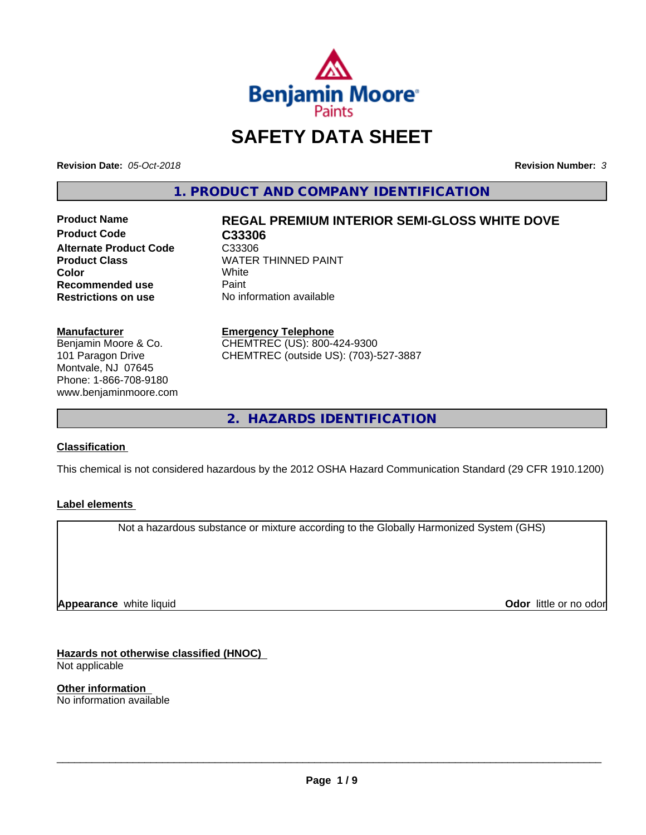

# **SAFETY DATA SHEET**

**Revision Date:** *05-Oct-2018* **Revision Number:** *3*

**1. PRODUCT AND COMPANY IDENTIFICATION**

**Product Code C33306 Alternate Product Code C33306<br>Product Class Cass COVER Recommended use** Paint<br> **Restrictions on use** No inf

# **Product Name REGAL PREMIUM INTERIOR SEMI-GLOSS WHITE DOVE**

**WATER THINNED PAINT**<br>White **Color** White White **No information available** 

**Manufacturer**

Benjamin Moore & Co. 101 Paragon Drive Montvale, NJ 07645 Phone: 1-866-708-9180 www.benjaminmoore.com

#### **Emergency Telephone**

CHEMTREC (US): 800-424-9300 CHEMTREC (outside US): (703)-527-3887

**2. HAZARDS IDENTIFICATION**

#### **Classification**

This chemical is not considered hazardous by the 2012 OSHA Hazard Communication Standard (29 CFR 1910.1200)

#### **Label elements**

Not a hazardous substance or mixture according to the Globally Harmonized System (GHS)

**Appearance** white liquid

**Odor** little or no odor

**Hazards not otherwise classified (HNOC)** Not applicable

**Other information** No information available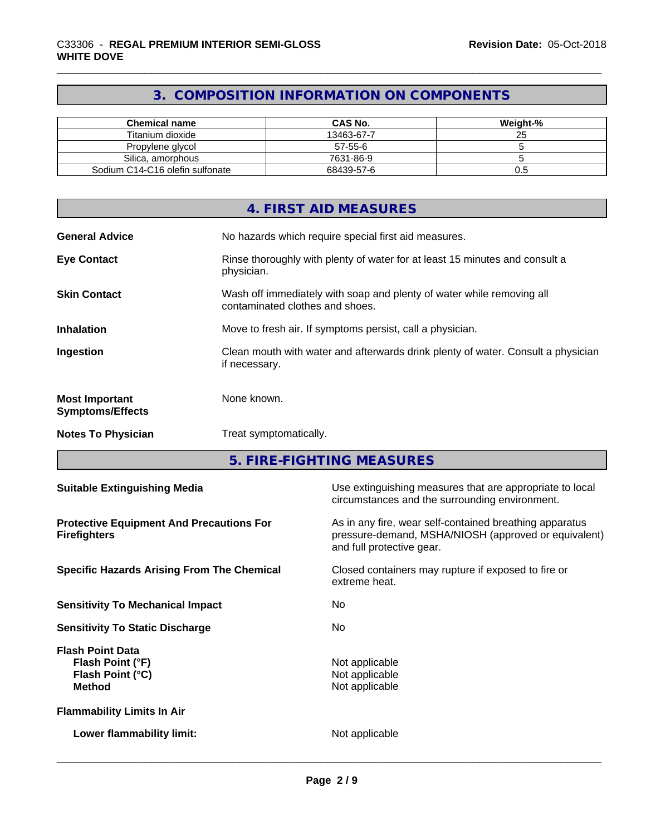# **3. COMPOSITION INFORMATION ON COMPONENTS**

| <b>Chemical name</b>            | <b>CAS No.</b> | Weight-% |
|---------------------------------|----------------|----------|
| Titanium dioxide                | 13463-67-7     |          |
| Propylene glycol                | 57-55-6        |          |
| Silica, amorphous               | 7631-86-9      |          |
| Sodium C14-C16 olefin sulfonate | 68439-57-6     | U.5      |

|                                                  | 4. FIRST AID MEASURES                                                                                    |
|--------------------------------------------------|----------------------------------------------------------------------------------------------------------|
| <b>General Advice</b>                            | No hazards which require special first aid measures.                                                     |
| <b>Eye Contact</b>                               | Rinse thoroughly with plenty of water for at least 15 minutes and consult a<br>physician.                |
| <b>Skin Contact</b>                              | Wash off immediately with soap and plenty of water while removing all<br>contaminated clothes and shoes. |
| <b>Inhalation</b>                                | Move to fresh air. If symptoms persist, call a physician.                                                |
| Ingestion                                        | Clean mouth with water and afterwards drink plenty of water. Consult a physician<br>if necessary.        |
| <b>Most Important</b><br><b>Symptoms/Effects</b> | None known.                                                                                              |
| <b>Notes To Physician</b>                        | Treat symptomatically.                                                                                   |

**5. FIRE-FIGHTING MEASURES**

| Use extinguishing measures that are appropriate to local<br><b>Suitable Extinguishing Media</b><br>circumstances and the surrounding environment.                                                                      |  |
|------------------------------------------------------------------------------------------------------------------------------------------------------------------------------------------------------------------------|--|
| As in any fire, wear self-contained breathing apparatus<br><b>Protective Equipment And Precautions For</b><br>pressure-demand, MSHA/NIOSH (approved or equivalent)<br><b>Firefighters</b><br>and full protective gear. |  |
| Closed containers may rupture if exposed to fire or<br><b>Specific Hazards Arising From The Chemical</b><br>extreme heat.                                                                                              |  |
| <b>Sensitivity To Mechanical Impact</b><br>No.                                                                                                                                                                         |  |
| No.<br><b>Sensitivity To Static Discharge</b>                                                                                                                                                                          |  |
| <b>Flash Point Data</b><br>Not applicable<br>Flash Point (°F)<br>Not applicable<br>Flash Point (°C)<br>Not applicable<br><b>Method</b>                                                                                 |  |
| <b>Flammability Limits In Air</b>                                                                                                                                                                                      |  |
| Not applicable<br>Lower flammability limit:                                                                                                                                                                            |  |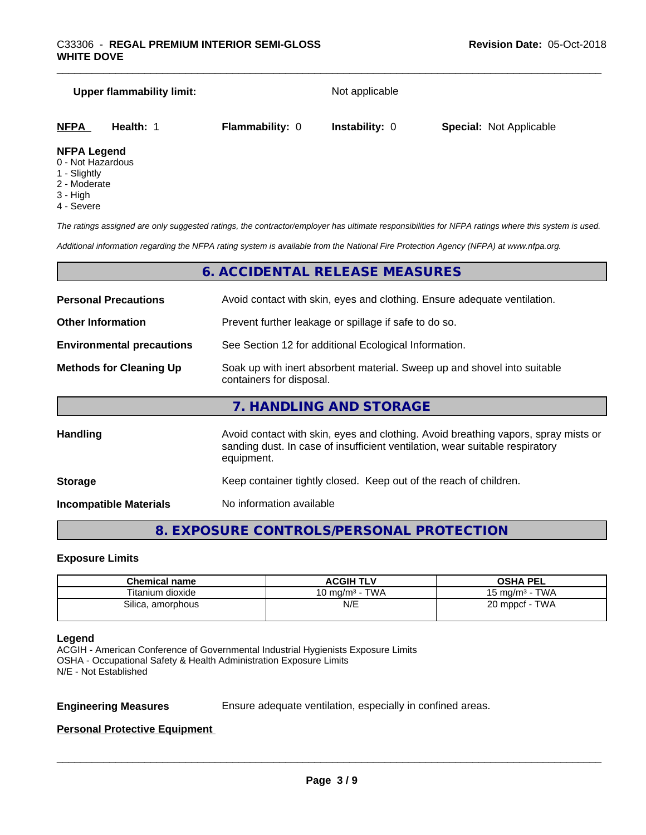|                     | <b>Upper flammability limit:</b> |                        | Not applicable        |                                |
|---------------------|----------------------------------|------------------------|-----------------------|--------------------------------|
| <b>NFPA</b>         | Health: 1                        | <b>Flammability: 0</b> | <b>Instability: 0</b> | <b>Special: Not Applicable</b> |
| <b>NIFRA LANAMA</b> |                                  |                        |                       |                                |

#### **NFPA Legend**

- 0 Not Hazardous
- 1 Slightly
- 2 Moderate
- 3 High
- 4 Severe

*The ratings assigned are only suggested ratings, the contractor/employer has ultimate responsibilities for NFPA ratings where this system is used.*

*Additional information regarding the NFPA rating system is available from the National Fire Protection Agency (NFPA) at www.nfpa.org.*

#### **6. ACCIDENTAL RELEASE MEASURES**

| <b>Personal Precautions</b>      | Avoid contact with skin, eyes and clothing. Ensure adequate ventilation.                                                                                                         |  |
|----------------------------------|----------------------------------------------------------------------------------------------------------------------------------------------------------------------------------|--|
| <b>Other Information</b>         | Prevent further leakage or spillage if safe to do so.                                                                                                                            |  |
| <b>Environmental precautions</b> | See Section 12 for additional Ecological Information.                                                                                                                            |  |
| <b>Methods for Cleaning Up</b>   | Soak up with inert absorbent material. Sweep up and shovel into suitable<br>containers for disposal.                                                                             |  |
|                                  | 7. HANDLING AND STORAGE                                                                                                                                                          |  |
| Handling                         | Avoid contact with skin, eyes and clothing. Avoid breathing vapors, spray mists or<br>sanding dust. In case of insufficient ventilation, wear suitable respiratory<br>equipment. |  |
|                                  |                                                                                                                                                                                  |  |

**Storage** Keep container tightly closed. Keep out of the reach of children.

**Incompatible Materials** No information available

### **8. EXPOSURE CONTROLS/PERSONAL PROTECTION**

#### **Exposure Limits**

| <b>Chemical name</b> | <b>ACGIH TLV</b>       | OSHA PEL                |
|----------------------|------------------------|-------------------------|
| Titanium dioxide     | · TWA<br>10 mg/m $3 -$ | ∙ TWA<br>15 mg/m $^3$ - |
| Silica, amorphous    | N/E                    | TWA<br>20 mppcf - 1     |

#### **Legend**

ACGIH - American Conference of Governmental Industrial Hygienists Exposure Limits OSHA - Occupational Safety & Health Administration Exposure Limits N/E - Not Established

**Engineering Measures** Ensure adequate ventilation, especially in confined areas.

 $\overline{\phantom{a}}$  ,  $\overline{\phantom{a}}$  ,  $\overline{\phantom{a}}$  ,  $\overline{\phantom{a}}$  ,  $\overline{\phantom{a}}$  ,  $\overline{\phantom{a}}$  ,  $\overline{\phantom{a}}$  ,  $\overline{\phantom{a}}$  ,  $\overline{\phantom{a}}$  ,  $\overline{\phantom{a}}$  ,  $\overline{\phantom{a}}$  ,  $\overline{\phantom{a}}$  ,  $\overline{\phantom{a}}$  ,  $\overline{\phantom{a}}$  ,  $\overline{\phantom{a}}$  ,  $\overline{\phantom{a}}$ 

#### **Personal Protective Equipment**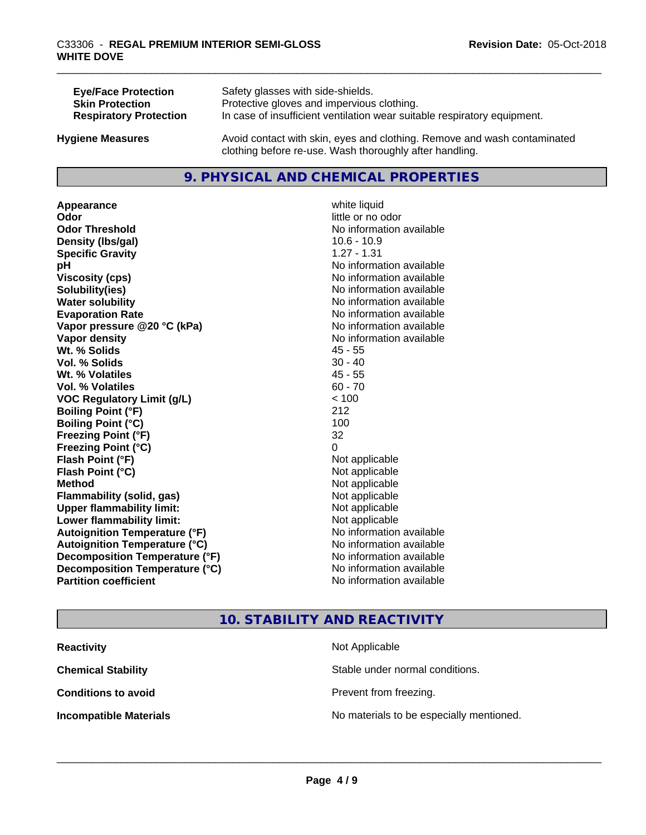| <b>Eye/Face Protection</b>    | Safety glasses with side-shields.                                        |
|-------------------------------|--------------------------------------------------------------------------|
| <b>Skin Protection</b>        | Protective gloves and impervious clothing.                               |
| <b>Respiratory Protection</b> | In case of insufficient ventilation wear suitable respiratory equipment. |
| <b>Hygiene Measures</b>       | Avoid contact with skin, eyes and clothing. Remove and wash contaminated |

#### **9. PHYSICAL AND CHEMICAL PROPERTIES**

clothing before re-use. Wash thoroughly after handling.

**Appearance** white liquid **Odor** little or no odor **Odor Threshold No information available No information available Density (Ibs/gal)** 10.6 - 10.9 **Specific Gravity** 1.27 - 1.31 **pH** No information available **Viscosity (cps)** No information available **Solubility(ies)** No information available **Water solubility Water solubility Water solubility Water solubility Water solubility Water solution Evaporation Rate No information available No information available Vapor pressure @20 °C (kPa)** No information available **Vapor density No information available Wt. % Solids** 45 - 55 **Vol. % Solids** 30 - 40 **Wt. % Volatiles** 45 - 55 **Vol. % Volatiles** 60 - 70 **VOC Regulatory Limit (g/L)** < 100 **Boiling Point (°F)** 212 **Boiling Point (°C)** 100 **Freezing Point (°F)** 32 **Freezing Point (°C)** 0 **Flash Point (°F)** Not applicable **Flash Point (°C)** Not applicable **Method** Not applicable **Flammability (solid, gas)** Not applicable **Upper flammability limit:** Not applicable **Lower flammability limit:** Not applicable **Autoignition Temperature (°F)** No information available **Autoignition Temperature (°C)** No information available **Decomposition Temperature (°F)** No information available **Decomposition Temperature (°C)** No information available<br> **Partition coefficient Partition available** 

**No information available** 

#### **10. STABILITY AND REACTIVITY**

| <b>Reactivity</b>             | Not Applicable                           |
|-------------------------------|------------------------------------------|
| <b>Chemical Stability</b>     | Stable under normal conditions.          |
| <b>Conditions to avoid</b>    | Prevent from freezing.                   |
| <b>Incompatible Materials</b> | No materials to be especially mentioned. |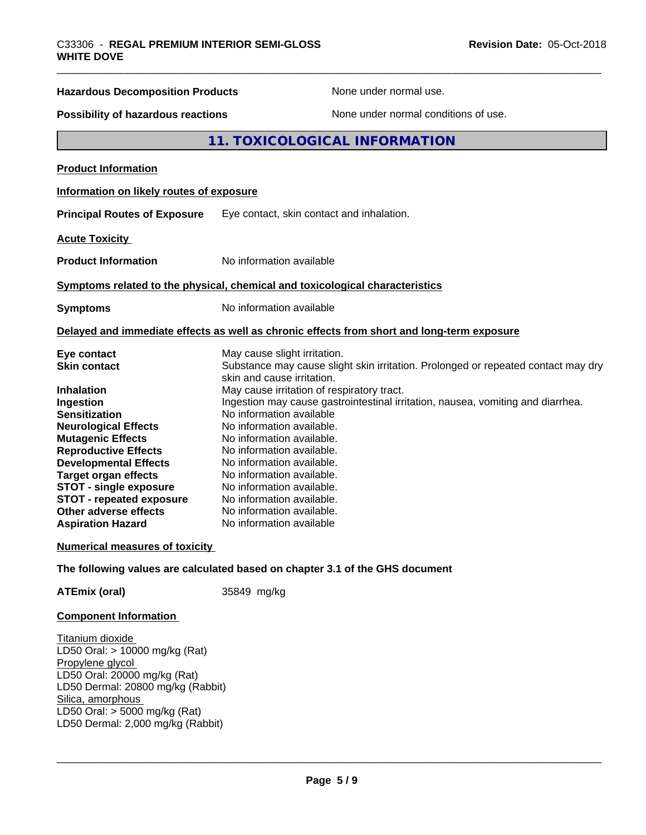| <b>Hazardous Decomposition Products</b>                                                                                                                                                                                                                                                                                                            | None under normal use.                                                                                                                                                                                                                                                                                                                                                                                                                                                                                                                               |
|----------------------------------------------------------------------------------------------------------------------------------------------------------------------------------------------------------------------------------------------------------------------------------------------------------------------------------------------------|------------------------------------------------------------------------------------------------------------------------------------------------------------------------------------------------------------------------------------------------------------------------------------------------------------------------------------------------------------------------------------------------------------------------------------------------------------------------------------------------------------------------------------------------------|
| Possibility of hazardous reactions                                                                                                                                                                                                                                                                                                                 | None under normal conditions of use.                                                                                                                                                                                                                                                                                                                                                                                                                                                                                                                 |
|                                                                                                                                                                                                                                                                                                                                                    | 11. TOXICOLOGICAL INFORMATION                                                                                                                                                                                                                                                                                                                                                                                                                                                                                                                        |
| <b>Product Information</b>                                                                                                                                                                                                                                                                                                                         |                                                                                                                                                                                                                                                                                                                                                                                                                                                                                                                                                      |
| Information on likely routes of exposure                                                                                                                                                                                                                                                                                                           |                                                                                                                                                                                                                                                                                                                                                                                                                                                                                                                                                      |
| <b>Principal Routes of Exposure</b>                                                                                                                                                                                                                                                                                                                | Eye contact, skin contact and inhalation.                                                                                                                                                                                                                                                                                                                                                                                                                                                                                                            |
| <b>Acute Toxicity</b>                                                                                                                                                                                                                                                                                                                              |                                                                                                                                                                                                                                                                                                                                                                                                                                                                                                                                                      |
| <b>Product Information</b>                                                                                                                                                                                                                                                                                                                         | No information available                                                                                                                                                                                                                                                                                                                                                                                                                                                                                                                             |
|                                                                                                                                                                                                                                                                                                                                                    | Symptoms related to the physical, chemical and toxicological characteristics                                                                                                                                                                                                                                                                                                                                                                                                                                                                         |
| <b>Symptoms</b>                                                                                                                                                                                                                                                                                                                                    | No information available                                                                                                                                                                                                                                                                                                                                                                                                                                                                                                                             |
|                                                                                                                                                                                                                                                                                                                                                    | Delayed and immediate effects as well as chronic effects from short and long-term exposure                                                                                                                                                                                                                                                                                                                                                                                                                                                           |
| Eye contact<br><b>Skin contact</b><br><b>Inhalation</b><br>Ingestion<br><b>Sensitization</b><br><b>Neurological Effects</b><br><b>Mutagenic Effects</b><br><b>Reproductive Effects</b><br><b>Developmental Effects</b><br><b>Target organ effects</b><br><b>STOT - single exposure</b><br><b>STOT - repeated exposure</b><br>Other adverse effects | May cause slight irritation.<br>Substance may cause slight skin irritation. Prolonged or repeated contact may dry<br>skin and cause irritation.<br>May cause irritation of respiratory tract.<br>Ingestion may cause gastrointestinal irritation, nausea, vomiting and diarrhea.<br>No information available<br>No information available.<br>No information available.<br>No information available.<br>No information available.<br>No information available.<br>No information available.<br>No information available.<br>No information available. |
| <b>Aspiration Hazard</b>                                                                                                                                                                                                                                                                                                                           | No information available                                                                                                                                                                                                                                                                                                                                                                                                                                                                                                                             |

**ATEmix (oral)** 35849 mg/kg

#### **Component Information**

Titanium dioxide LD50 Oral: > 10000 mg/kg (Rat) Propylene glycol LD50 Oral: 20000 mg/kg (Rat) LD50 Dermal: 20800 mg/kg (Rabbit) Silica, amorphous LD50 Oral: > 5000 mg/kg (Rat) LD50 Dermal: 2,000 mg/kg (Rabbit)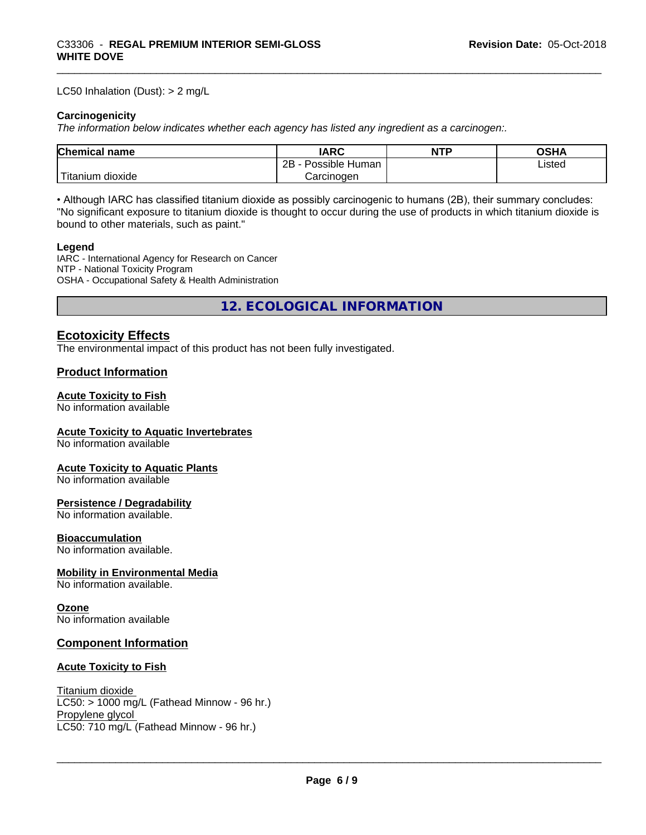#### LC50 Inhalation (Dust): > 2 mg/L

#### **Carcinogenicity**

*The information below indicateswhether each agency has listed any ingredient as a carcinogen:.*

| Chemical<br>`name      | <b>IARC</b>                  | <b>NTP</b> | <b>OSHA</b> |
|------------------------|------------------------------|------------|-------------|
|                        | .<br>2B<br>Human<br>Possible |            | Listed      |
| n dioxide<br>l itanıum | Carcinoɑen                   |            |             |

• Although IARC has classified titanium dioxide as possibly carcinogenic to humans (2B), their summary concludes: "No significant exposure to titanium dioxide is thought to occur during the use of products in which titanium dioxide is bound to other materials, such as paint."

#### **Legend**

IARC - International Agency for Research on Cancer NTP - National Toxicity Program OSHA - Occupational Safety & Health Administration

**12. ECOLOGICAL INFORMATION**

#### **Ecotoxicity Effects**

The environmental impact of this product has not been fully investigated.

#### **Product Information**

#### **Acute Toxicity to Fish**

No information available

#### **Acute Toxicity to Aquatic Invertebrates**

No information available

#### **Acute Toxicity to Aquatic Plants**

No information available

#### **Persistence / Degradability**

No information available.

#### **Bioaccumulation**

No information available.

#### **Mobility in Environmental Media**

No information available.

#### **Ozone**

No information available

#### **Component Information**

#### **Acute Toxicity to Fish**

Titanium dioxide  $LC50: > 1000$  mg/L (Fathead Minnow - 96 hr.) Propylene glycol \_\_\_\_\_\_\_\_\_\_\_\_\_\_\_\_\_\_\_\_\_\_\_\_\_\_\_\_\_\_\_\_\_\_\_\_\_\_\_\_\_\_\_\_\_\_\_\_\_\_\_\_\_\_\_\_\_\_\_\_\_\_\_\_\_\_\_\_\_\_\_\_\_\_\_\_\_\_\_\_\_\_\_\_\_\_\_\_\_\_\_\_\_ LC50: 710 mg/L (Fathead Minnow - 96 hr.)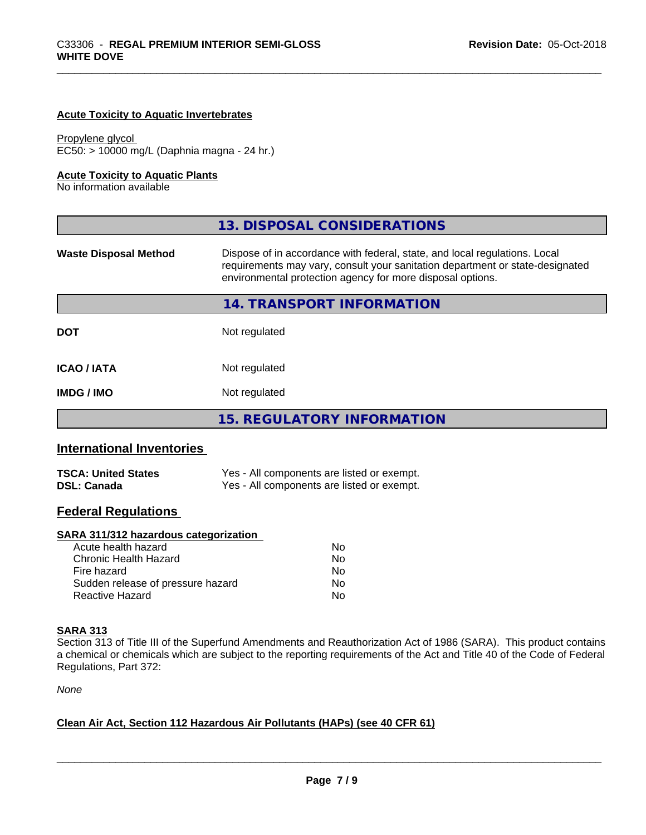#### **Acute Toxicity to Aquatic Invertebrates**

Propylene glycol EC50: > 10000 mg/L (Daphnia magna - 24 hr.)

#### **Acute Toxicity to Aquatic Plants**

No information available

|                              | 13. DISPOSAL CONSIDERATIONS                                                                                                                                                                                               |
|------------------------------|---------------------------------------------------------------------------------------------------------------------------------------------------------------------------------------------------------------------------|
| <b>Waste Disposal Method</b> | Dispose of in accordance with federal, state, and local regulations. Local<br>requirements may vary, consult your sanitation department or state-designated<br>environmental protection agency for more disposal options. |
|                              | 14. TRANSPORT INFORMATION                                                                                                                                                                                                 |
| <b>DOT</b>                   | Not regulated                                                                                                                                                                                                             |
| <b>ICAO / IATA</b>           | Not regulated                                                                                                                                                                                                             |
| <b>IMDG/IMO</b>              | Not regulated                                                                                                                                                                                                             |
|                              | <b>15. REGULATORY INFORMATION</b>                                                                                                                                                                                         |
|                              |                                                                                                                                                                                                                           |

### **International Inventories**

| <b>TSCA: United States</b> | Yes - All components are listed or exempt. |
|----------------------------|--------------------------------------------|
| <b>DSL: Canada</b>         | Yes - All components are listed or exempt. |

# **Federal Regulations**

#### **SARA 311/312 hazardous categorization**

| Acute health hazard               | Nο |
|-----------------------------------|----|
| Chronic Health Hazard             | Nο |
| Fire hazard                       | N٥ |
| Sudden release of pressure hazard | Nο |
| Reactive Hazard                   | Nο |

#### **SARA 313**

Section 313 of Title III of the Superfund Amendments and Reauthorization Act of 1986 (SARA). This product contains a chemical or chemicals which are subject to the reporting requirements of the Act and Title 40 of the Code of Federal Regulations, Part 372:

*None*

#### **Clean Air Act,Section 112 Hazardous Air Pollutants (HAPs) (see 40 CFR 61)**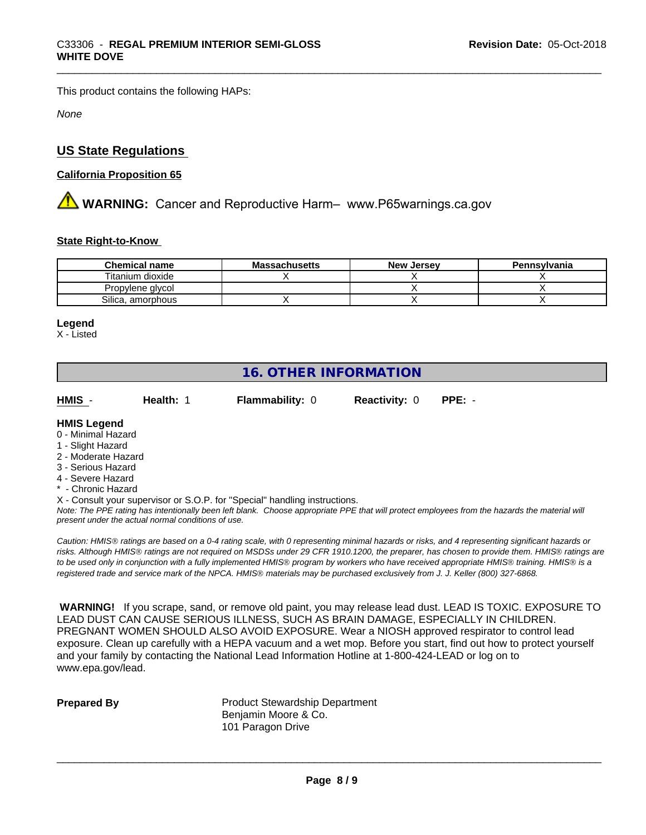This product contains the following HAPs:

*None*

## **US State Regulations**

#### **California Proposition 65**

**AN** WARNING: Cancer and Reproductive Harm– www.P65warnings.ca.gov

#### **State Right-to-Know**

| <b>Chemical name</b> | <b>Massachusetts</b> | <b>New Jersey</b> | Pennsylvania |
|----------------------|----------------------|-------------------|--------------|
| Titanium dioxide     |                      |                   |              |
| Propylene glycol     |                      |                   |              |
| Silica, amorphous    |                      |                   |              |

#### **Legend**

X - Listed

# **16. OTHER INFORMATION**

**HMIS** - **Health:** 1 **Flammability:** 0 **Reactivity:** 0 **PPE:** -

#### **HMIS Legend**

- 0 Minimal Hazard
- 1 Slight Hazard
- 2 Moderate Hazard
- 3 Serious Hazard
- 4 Severe Hazard
- \* Chronic Hazard
- X Consult your supervisor or S.O.P. for "Special" handling instructions.

*Note: The PPE rating has intentionally been left blank. Choose appropriate PPE that will protect employees from the hazards the material will present under the actual normal conditions of use.*

*Caution: HMISÒ ratings are based on a 0-4 rating scale, with 0 representing minimal hazards or risks, and 4 representing significant hazards or risks. Although HMISÒ ratings are not required on MSDSs under 29 CFR 1910.1200, the preparer, has chosen to provide them. HMISÒ ratings are to be used only in conjunction with a fully implemented HMISÒ program by workers who have received appropriate HMISÒ training. HMISÒ is a registered trade and service mark of the NPCA. HMISÒ materials may be purchased exclusively from J. J. Keller (800) 327-6868.*

 **WARNING!** If you scrape, sand, or remove old paint, you may release lead dust. LEAD IS TOXIC. EXPOSURE TO LEAD DUST CAN CAUSE SERIOUS ILLNESS, SUCH AS BRAIN DAMAGE, ESPECIALLY IN CHILDREN. PREGNANT WOMEN SHOULD ALSO AVOID EXPOSURE.Wear a NIOSH approved respirator to control lead exposure. Clean up carefully with a HEPA vacuum and a wet mop. Before you start, find out how to protect yourself and your family by contacting the National Lead Information Hotline at 1-800-424-LEAD or log on to www.epa.gov/lead.

**Prepared By** Product Stewardship Department Benjamin Moore & Co. 101 Paragon Drive